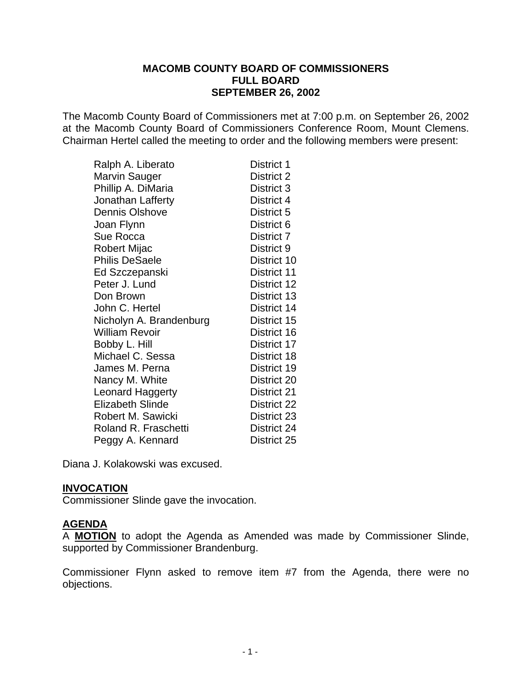#### **MACOMB COUNTY BOARD OF COMMISSIONERS FULL BOARD SEPTEMBER 26, 2002**

The Macomb County Board of Commissioners met at 7:00 p.m. on September 26, 2002 at the Macomb County Board of Commissioners Conference Room, Mount Clemens. Chairman Hertel called the meeting to order and the following members were present:

| Ralph A. Liberato       | District 1         |
|-------------------------|--------------------|
| <b>Marvin Sauger</b>    | District 2         |
| Phillip A. DiMaria      | District 3         |
| Jonathan Lafferty       | District 4         |
| <b>Dennis Olshove</b>   | District 5         |
| Joan Flynn              | District 6         |
| Sue Rocca               | District 7         |
| Robert Mijac            | District 9         |
| <b>Philis DeSaele</b>   | District 10        |
| Ed Szczepanski          | District 11        |
| Peter J. Lund           | District 12        |
| Don Brown               | District 13        |
| John C. Hertel          | District 14        |
| Nicholyn A. Brandenburg | District 15        |
| <b>William Revoir</b>   | District 16        |
| Bobby L. Hill           | District 17        |
| Michael C. Sessa        | District 18        |
| James M. Perna          | District 19        |
| Nancy M. White          | District 20        |
| Leonard Haggerty        | <b>District 21</b> |
| <b>Elizabeth Slinde</b> | District 22        |
| Robert M. Sawicki       | District 23        |
| Roland R. Fraschetti    | District 24        |
| Peggy A. Kennard        | District 25        |

Diana J. Kolakowski was excused.

### **INVOCATION**

Commissioner Slinde gave the invocation.

#### **AGENDA**

A **MOTION** to adopt the Agenda as Amended was made by Commissioner Slinde, supported by Commissioner Brandenburg.

Commissioner Flynn asked to remove item #7 from the Agenda, there were no objections.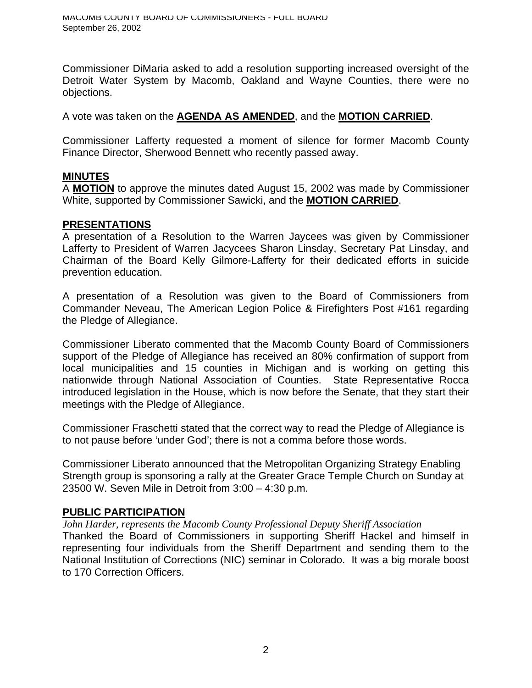Commissioner DiMaria asked to add a resolution supporting increased oversight of the Detroit Water System by Macomb, Oakland and Wayne Counties, there were no objections.

A vote was taken on the **AGENDA AS AMENDED**, and the **MOTION CARRIED**.

Commissioner Lafferty requested a moment of silence for former Macomb County Finance Director, Sherwood Bennett who recently passed away.

## **MINUTES**

A **MOTION** to approve the minutes dated August 15, 2002 was made by Commissioner White, supported by Commissioner Sawicki, and the **MOTION CARRIED**.

## **PRESENTATIONS**

A presentation of a Resolution to the Warren Jaycees was given by Commissioner Lafferty to President of Warren Jacycees Sharon Linsday, Secretary Pat Linsday, and Chairman of the Board Kelly Gilmore-Lafferty for their dedicated efforts in suicide prevention education.

A presentation of a Resolution was given to the Board of Commissioners from Commander Neveau, The American Legion Police & Firefighters Post #161 regarding the Pledge of Allegiance.

Commissioner Liberato commented that the Macomb County Board of Commissioners support of the Pledge of Allegiance has received an 80% confirmation of support from local municipalities and 15 counties in Michigan and is working on getting this nationwide through National Association of Counties. State Representative Rocca introduced legislation in the House, which is now before the Senate, that they start their meetings with the Pledge of Allegiance.

Commissioner Fraschetti stated that the correct way to read the Pledge of Allegiance is to not pause before 'under God'; there is not a comma before those words.

Commissioner Liberato announced that the Metropolitan Organizing Strategy Enabling Strength group is sponsoring a rally at the Greater Grace Temple Church on Sunday at 23500 W. Seven Mile in Detroit from 3:00 – 4:30 p.m.

### **PUBLIC PARTICIPATION**

*John Harder, represents the Macomb County Professional Deputy Sheriff Association*

Thanked the Board of Commissioners in supporting Sheriff Hackel and himself in representing four individuals from the Sheriff Department and sending them to the National Institution of Corrections (NIC) seminar in Colorado. It was a big morale boost to 170 Correction Officers.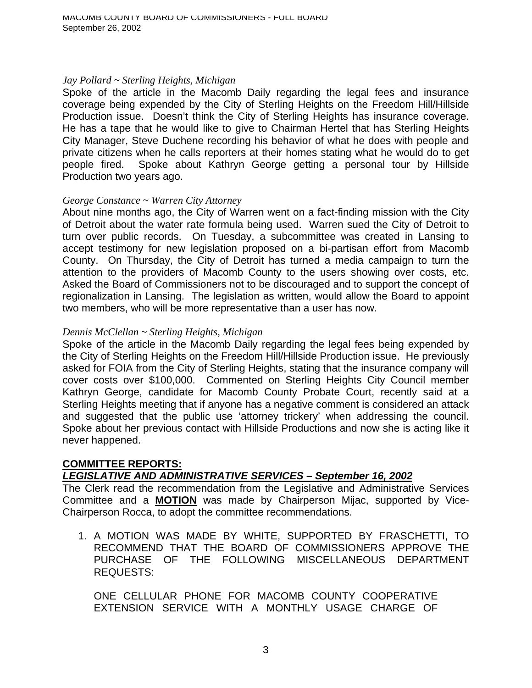#### *Jay Pollard ~ Sterling Heights, Michigan*

Spoke of the article in the Macomb Daily regarding the legal fees and insurance coverage being expended by the City of Sterling Heights on the Freedom Hill/Hillside Production issue. Doesn't think the City of Sterling Heights has insurance coverage. He has a tape that he would like to give to Chairman Hertel that has Sterling Heights City Manager, Steve Duchene recording his behavior of what he does with people and private citizens when he calls reporters at their homes stating what he would do to get people fired. Spoke about Kathryn George getting a personal tour by Hillside Production two years ago.

#### *George Constance ~ Warren City Attorney*

About nine months ago, the City of Warren went on a fact-finding mission with the City of Detroit about the water rate formula being used. Warren sued the City of Detroit to turn over public records. On Tuesday, a subcommittee was created in Lansing to accept testimony for new legislation proposed on a bi-partisan effort from Macomb County. On Thursday, the City of Detroit has turned a media campaign to turn the attention to the providers of Macomb County to the users showing over costs, etc. Asked the Board of Commissioners not to be discouraged and to support the concept of regionalization in Lansing. The legislation as written, would allow the Board to appoint two members, who will be more representative than a user has now.

#### *Dennis McClellan ~ Sterling Heights, Michigan*

Spoke of the article in the Macomb Daily regarding the legal fees being expended by the City of Sterling Heights on the Freedom Hill/Hillside Production issue. He previously asked for FOIA from the City of Sterling Heights, stating that the insurance company will cover costs over \$100,000. Commented on Sterling Heights City Council member Kathryn George, candidate for Macomb County Probate Court, recently said at a Sterling Heights meeting that if anyone has a negative comment is considered an attack and suggested that the public use 'attorney trickery' when addressing the council. Spoke about her previous contact with Hillside Productions and now she is acting like it never happened.

#### **COMMITTEE REPORTS:** *LEGISLATIVE AND ADMINISTRATIVE SERVICES – September 16, 2002*

The Clerk read the recommendation from the Legislative and Administrative Services Committee and a **MOTION** was made by Chairperson Mijac, supported by Vice-Chairperson Rocca, to adopt the committee recommendations.

1. A MOTION WAS MADE BY WHITE, SUPPORTED BY FRASCHETTI, TO RECOMMEND THAT THE BOARD OF COMMISSIONERS APPROVE THE PURCHASE OF THE FOLLOWING MISCELLANEOUS DEPARTMENT REQUESTS:

ONE CELLULAR PHONE FOR MACOMB COUNTY COOPERATIVE EXTENSION SERVICE WITH A MONTHLY USAGE CHARGE OF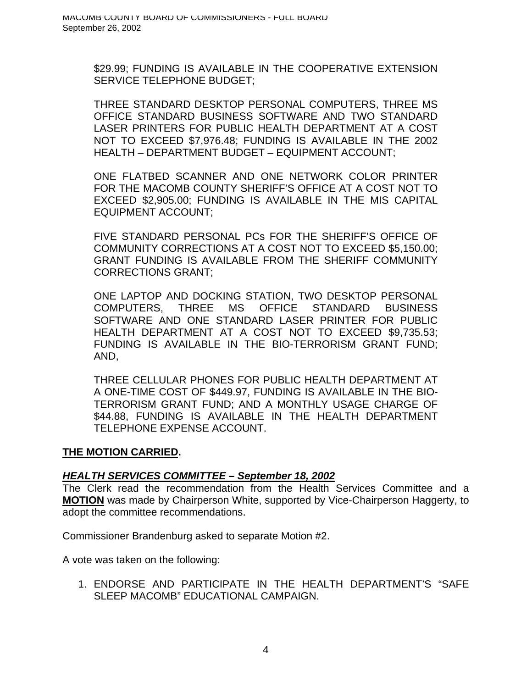\$29.99; FUNDING IS AVAILABLE IN THE COOPERATIVE EXTENSION SERVICE TELEPHONE BUDGET;

THREE STANDARD DESKTOP PERSONAL COMPUTERS, THREE MS OFFICE STANDARD BUSINESS SOFTWARE AND TWO STANDARD LASER PRINTERS FOR PUBLIC HEALTH DEPARTMENT AT A COST NOT TO EXCEED \$7,976.48; FUNDING IS AVAILABLE IN THE 2002 HEALTH – DEPARTMENT BUDGET – EQUIPMENT ACCOUNT;

ONE FLATBED SCANNER AND ONE NETWORK COLOR PRINTER FOR THE MACOMB COUNTY SHERIFF'S OFFICE AT A COST NOT TO EXCEED \$2,905.00; FUNDING IS AVAILABLE IN THE MIS CAPITAL EQUIPMENT ACCOUNT;

FIVE STANDARD PERSONAL PCs FOR THE SHERIFF'S OFFICE OF COMMUNITY CORRECTIONS AT A COST NOT TO EXCEED \$5,150.00; GRANT FUNDING IS AVAILABLE FROM THE SHERIFF COMMUNITY CORRECTIONS GRANT;

ONE LAPTOP AND DOCKING STATION, TWO DESKTOP PERSONAL COMPUTERS, THREE MS OFFICE STANDARD BUSINESS SOFTWARE AND ONE STANDARD LASER PRINTER FOR PUBLIC HEALTH DEPARTMENT AT A COST NOT TO EXCEED \$9,735.53; FUNDING IS AVAILABLE IN THE BIO-TERRORISM GRANT FUND; AND,

THREE CELLULAR PHONES FOR PUBLIC HEALTH DEPARTMENT AT A ONE-TIME COST OF \$449.97, FUNDING IS AVAILABLE IN THE BIO-TERRORISM GRANT FUND; AND A MONTHLY USAGE CHARGE OF \$44.88, FUNDING IS AVAILABLE IN THE HEALTH DEPARTMENT TELEPHONE EXPENSE ACCOUNT.

### **THE MOTION CARRIED.**

### *HEALTH SERVICES COMMITTEE – September 18, 2002*

The Clerk read the recommendation from the Health Services Committee and a **MOTION** was made by Chairperson White, supported by Vice-Chairperson Haggerty, to adopt the committee recommendations.

Commissioner Brandenburg asked to separate Motion #2.

A vote was taken on the following:

1. ENDORSE AND PARTICIPATE IN THE HEALTH DEPARTMENT'S "SAFE SLEEP MACOMB" EDUCATIONAL CAMPAIGN.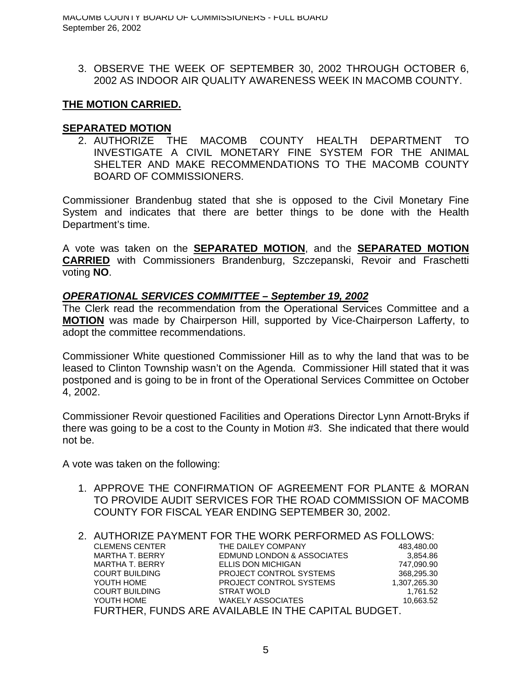3. OBSERVE THE WEEK OF SEPTEMBER 30, 2002 THROUGH OCTOBER 6, 2002 AS INDOOR AIR QUALITY AWARENESS WEEK IN MACOMB COUNTY.

## **THE MOTION CARRIED.**

## **SEPARATED MOTION**

2. AUTHORIZE THE MACOMB COUNTY HEALTH DEPARTMENT TO INVESTIGATE A CIVIL MONETARY FINE SYSTEM FOR THE ANIMAL SHELTER AND MAKE RECOMMENDATIONS TO THE MACOMB COUNTY BOARD OF COMMISSIONERS.

Commissioner Brandenbug stated that she is opposed to the Civil Monetary Fine System and indicates that there are better things to be done with the Health Department's time.

A vote was taken on the **SEPARATED MOTION**, and the **SEPARATED MOTION CARRIED** with Commissioners Brandenburg, Szczepanski, Revoir and Fraschetti voting **NO**.

### *OPERATIONAL SERVICES COMMITTEE – September 19, 2002*

The Clerk read the recommendation from the Operational Services Committee and a **MOTION** was made by Chairperson Hill, supported by Vice-Chairperson Lafferty, to adopt the committee recommendations.

Commissioner White questioned Commissioner Hill as to why the land that was to be leased to Clinton Township wasn't on the Agenda. Commissioner Hill stated that it was postponed and is going to be in front of the Operational Services Committee on October 4, 2002.

Commissioner Revoir questioned Facilities and Operations Director Lynn Arnott-Bryks if there was going to be a cost to the County in Motion #3. She indicated that there would not be.

A vote was taken on the following:

1. APPROVE THE CONFIRMATION OF AGREEMENT FOR PLANTE & MORAN TO PROVIDE AUDIT SERVICES FOR THE ROAD COMMISSION OF MACOMB COUNTY FOR FISCAL YEAR ENDING SEPTEMBER 30, 2002.

# 2. AUTHORIZE PAYMENT FOR THE WORK PERFORMED AS FOLLOWS:

| <b>CLEMENS CENTER</b>  | THE DAILEY COMPANY                                  | 483,480.00   |
|------------------------|-----------------------------------------------------|--------------|
| <b>MARTHA T. BERRY</b> | EDMUND LONDON & ASSOCIATES                          | 3,854.86     |
| MARTHA T. BERRY        | ELLIS DON MICHIGAN                                  | 747.090.90   |
| <b>COURT BUILDING</b>  | PROJECT CONTROL SYSTEMS                             | 368,295.30   |
| YOUTH HOME             | PROJECT CONTROL SYSTEMS                             | 1,307,265.30 |
| <b>COURT BUILDING</b>  | STRAT WOLD                                          | 1.761.52     |
| YOUTH HOME             | <b>WAKELY ASSOCIATES</b>                            | 10,663.52    |
|                        | FURTHER, FUNDS ARE AVAILABLE IN THE CAPITAL BUDGET. |              |
|                        |                                                     |              |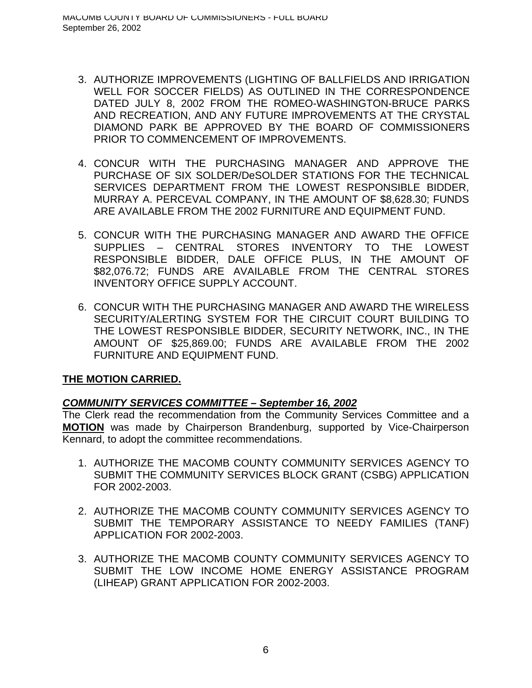- 3. AUTHORIZE IMPROVEMENTS (LIGHTING OF BALLFIELDS AND IRRIGATION WELL FOR SOCCER FIELDS) AS OUTLINED IN THE CORRESPONDENCE DATED JULY 8, 2002 FROM THE ROMEO-WASHINGTON-BRUCE PARKS AND RECREATION, AND ANY FUTURE IMPROVEMENTS AT THE CRYSTAL DIAMOND PARK BE APPROVED BY THE BOARD OF COMMISSIONERS PRIOR TO COMMENCEMENT OF IMPROVEMENTS.
- 4. CONCUR WITH THE PURCHASING MANAGER AND APPROVE THE PURCHASE OF SIX SOLDER/DeSOLDER STATIONS FOR THE TECHNICAL SERVICES DEPARTMENT FROM THE LOWEST RESPONSIBLE BIDDER, MURRAY A. PERCEVAL COMPANY, IN THE AMOUNT OF \$8,628.30; FUNDS ARE AVAILABLE FROM THE 2002 FURNITURE AND EQUIPMENT FUND.
- 5. CONCUR WITH THE PURCHASING MANAGER AND AWARD THE OFFICE SUPPLIES – CENTRAL STORES INVENTORY TO THE LOWEST RESPONSIBLE BIDDER, DALE OFFICE PLUS, IN THE AMOUNT OF \$82,076.72; FUNDS ARE AVAILABLE FROM THE CENTRAL STORES INVENTORY OFFICE SUPPLY ACCOUNT.
- 6. CONCUR WITH THE PURCHASING MANAGER AND AWARD THE WIRELESS SECURITY/ALERTING SYSTEM FOR THE CIRCUIT COURT BUILDING TO THE LOWEST RESPONSIBLE BIDDER, SECURITY NETWORK, INC., IN THE AMOUNT OF \$25,869.00; FUNDS ARE AVAILABLE FROM THE 2002 FURNITURE AND EQUIPMENT FUND.

# *COMMUNITY SERVICES COMMITTEE – September 16, 2002*

The Clerk read the recommendation from the Community Services Committee and a **MOTION** was made by Chairperson Brandenburg, supported by Vice-Chairperson Kennard, to adopt the committee recommendations.

- 1. AUTHORIZE THE MACOMB COUNTY COMMUNITY SERVICES AGENCY TO SUBMIT THE COMMUNITY SERVICES BLOCK GRANT (CSBG) APPLICATION FOR 2002-2003.
- 2. AUTHORIZE THE MACOMB COUNTY COMMUNITY SERVICES AGENCY TO SUBMIT THE TEMPORARY ASSISTANCE TO NEEDY FAMILIES (TANF) APPLICATION FOR 2002-2003.
- 3. AUTHORIZE THE MACOMB COUNTY COMMUNITY SERVICES AGENCY TO SUBMIT THE LOW INCOME HOME ENERGY ASSISTANCE PROGRAM (LIHEAP) GRANT APPLICATION FOR 2002-2003.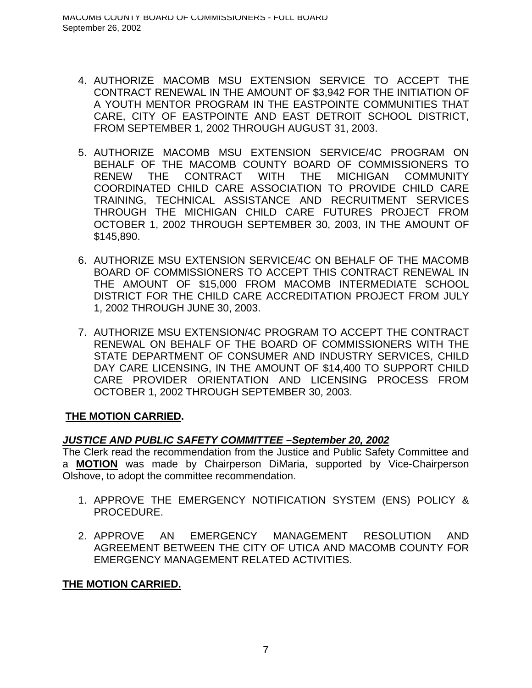- 4. AUTHORIZE MACOMB MSU EXTENSION SERVICE TO ACCEPT THE CONTRACT RENEWAL IN THE AMOUNT OF \$3,942 FOR THE INITIATION OF A YOUTH MENTOR PROGRAM IN THE EASTPOINTE COMMUNITIES THAT CARE, CITY OF EASTPOINTE AND EAST DETROIT SCHOOL DISTRICT, FROM SEPTEMBER 1, 2002 THROUGH AUGUST 31, 2003.
- 5. AUTHORIZE MACOMB MSU EXTENSION SERVICE/4C PROGRAM ON BEHALF OF THE MACOMB COUNTY BOARD OF COMMISSIONERS TO RENEW THE CONTRACT WITH THE MICHIGAN COMMUNITY COORDINATED CHILD CARE ASSOCIATION TO PROVIDE CHILD CARE TRAINING, TECHNICAL ASSISTANCE AND RECRUITMENT SERVICES THROUGH THE MICHIGAN CHILD CARE FUTURES PROJECT FROM OCTOBER 1, 2002 THROUGH SEPTEMBER 30, 2003, IN THE AMOUNT OF \$145,890.
- 6. AUTHORIZE MSU EXTENSION SERVICE/4C ON BEHALF OF THE MACOMB BOARD OF COMMISSIONERS TO ACCEPT THIS CONTRACT RENEWAL IN THE AMOUNT OF \$15,000 FROM MACOMB INTERMEDIATE SCHOOL DISTRICT FOR THE CHILD CARE ACCREDITATION PROJECT FROM JULY 1, 2002 THROUGH JUNE 30, 2003.
- 7. AUTHORIZE MSU EXTENSION/4C PROGRAM TO ACCEPT THE CONTRACT RENEWAL ON BEHALF OF THE BOARD OF COMMISSIONERS WITH THE STATE DEPARTMENT OF CONSUMER AND INDUSTRY SERVICES, CHILD DAY CARE LICENSING, IN THE AMOUNT OF \$14,400 TO SUPPORT CHILD CARE PROVIDER ORIENTATION AND LICENSING PROCESS FROM OCTOBER 1, 2002 THROUGH SEPTEMBER 30, 2003.

# *JUSTICE AND PUBLIC SAFETY COMMITTEE –September 20, 2002*

The Clerk read the recommendation from the Justice and Public Safety Committee and a **MOTION** was made by Chairperson DiMaria, supported by Vice-Chairperson Olshove, to adopt the committee recommendation.

- 1. APPROVE THE EMERGENCY NOTIFICATION SYSTEM (ENS) POLICY & PROCEDURE.
- 2. APPROVE AN EMERGENCY MANAGEMENT RESOLUTION AND AGREEMENT BETWEEN THE CITY OF UTICA AND MACOMB COUNTY FOR EMERGENCY MANAGEMENT RELATED ACTIVITIES.

# **THE MOTION CARRIED.**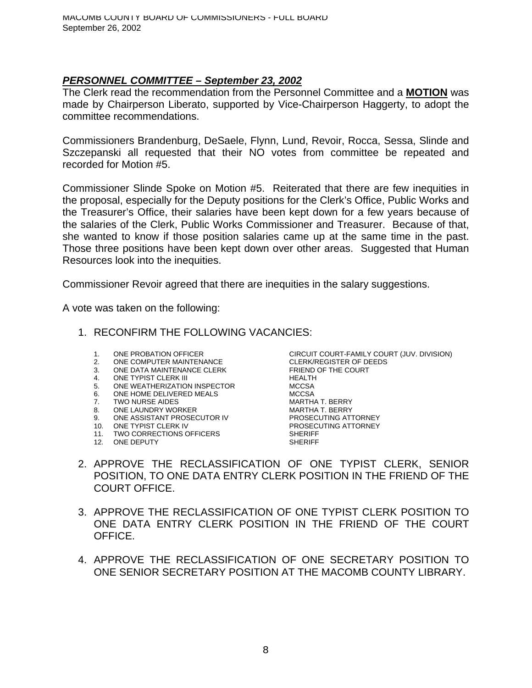## *PERSONNEL COMMITTEE – September 23, 2002*

The Clerk read the recommendation from the Personnel Committee and a **MOTION** was made by Chairperson Liberato, supported by Vice-Chairperson Haggerty, to adopt the committee recommendations.

Commissioners Brandenburg, DeSaele, Flynn, Lund, Revoir, Rocca, Sessa, Slinde and Szczepanski all requested that their NO votes from committee be repeated and recorded for Motion #5.

Commissioner Slinde Spoke on Motion #5. Reiterated that there are few inequities in the proposal, especially for the Deputy positions for the Clerk's Office, Public Works and the Treasurer's Office, their salaries have been kept down for a few years because of the salaries of the Clerk, Public Works Commissioner and Treasurer. Because of that, she wanted to know if those position salaries came up at the same time in the past. Those three positions have been kept down over other areas. Suggested that Human Resources look into the inequities.

Commissioner Revoir agreed that there are inequities in the salary suggestions.

A vote was taken on the following:

- 1. RECONFIRM THE FOLLOWING VACANCIES:
	-
	- 2. ONE COMPUTER MAINTENANCE
	- 3. ONE DATA MAINTENANCE CLERK FRIEND OF THE COURT
	-
	- 4. ONE TYPIST CLERK III THEALTH FRAME THE MEALTH SAND MEALTH 5. ONE WEATHERIZATION INSPECTOR
	- 6. ONE HOME DELIVERED MEALS MCCSA
	- 7. TWO NURSE AIDES **MARTHA T. BERRY**
	-
	- ONE ASSISTANT PROSECUTOR IV
	-
	- 11. TWO CORRECTIONS OFFICERS
	- 12. ONE DEPUTY SHERIFF

1. ONE PROBATION OFFICER<br>
2. ONE COMPUTER MAINTENANCE<br>
CLERK/REGISTER OF DEEDS 8. ONE LAUNDRY WORKER MARTHA T. BERRY 10. ONE TYPIST CLERK IV PROSECUTING ATTORNEY<br>11. TWO CORRECTIONS OFFICERS SHERIFF

- 2. APPROVE THE RECLASSIFICATION OF ONE TYPIST CLERK, SENIOR POSITION, TO ONE DATA ENTRY CLERK POSITION IN THE FRIEND OF THE COURT OFFICE.
- 3. APPROVE THE RECLASSIFICATION OF ONE TYPIST CLERK POSITION TO ONE DATA ENTRY CLERK POSITION IN THE FRIEND OF THE COURT OFFICE.
- 4. APPROVE THE RECLASSIFICATION OF ONE SECRETARY POSITION TO ONE SENIOR SECRETARY POSITION AT THE MACOMB COUNTY LIBRARY.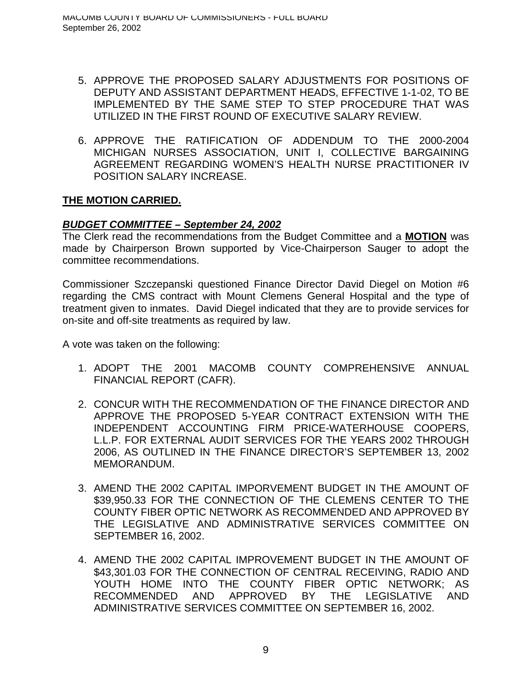- 5. APPROVE THE PROPOSED SALARY ADJUSTMENTS FOR POSITIONS OF DEPUTY AND ASSISTANT DEPARTMENT HEADS, EFFECTIVE 1-1-02, TO BE IMPLEMENTED BY THE SAME STEP TO STEP PROCEDURE THAT WAS UTILIZED IN THE FIRST ROUND OF EXECUTIVE SALARY REVIEW.
- 6. APPROVE THE RATIFICATION OF ADDENDUM TO THE 2000-2004 MICHIGAN NURSES ASSOCIATION, UNIT I, COLLECTIVE BARGAINING AGREEMENT REGARDING WOMEN'S HEALTH NURSE PRACTITIONER IV POSITION SALARY INCREASE.

## *BUDGET COMMITTEE – September 24, 2002*

The Clerk read the recommendations from the Budget Committee and a **MOTION** was made by Chairperson Brown supported by Vice-Chairperson Sauger to adopt the committee recommendations.

Commissioner Szczepanski questioned Finance Director David Diegel on Motion #6 regarding the CMS contract with Mount Clemens General Hospital and the type of treatment given to inmates. David Diegel indicated that they are to provide services for on-site and off-site treatments as required by law.

A vote was taken on the following:

- 1. ADOPT THE 2001 MACOMB COUNTY COMPREHENSIVE ANNUAL FINANCIAL REPORT (CAFR).
- 2. CONCUR WITH THE RECOMMENDATION OF THE FINANCE DIRECTOR AND APPROVE THE PROPOSED 5-YEAR CONTRACT EXTENSION WITH THE INDEPENDENT ACCOUNTING FIRM PRICE-WATERHOUSE COOPERS, L.L.P. FOR EXTERNAL AUDIT SERVICES FOR THE YEARS 2002 THROUGH 2006, AS OUTLINED IN THE FINANCE DIRECTOR'S SEPTEMBER 13, 2002 MEMORANDUM.
- 3. AMEND THE 2002 CAPITAL IMPORVEMENT BUDGET IN THE AMOUNT OF \$39,950.33 FOR THE CONNECTION OF THE CLEMENS CENTER TO THE COUNTY FIBER OPTIC NETWORK AS RECOMMENDED AND APPROVED BY THE LEGISLATIVE AND ADMINISTRATIVE SERVICES COMMITTEE ON SEPTEMBER 16, 2002.
- 4. AMEND THE 2002 CAPITAL IMPROVEMENT BUDGET IN THE AMOUNT OF \$43,301.03 FOR THE CONNECTION OF CENTRAL RECEIVING, RADIO AND YOUTH HOME INTO THE COUNTY FIBER OPTIC NETWORK; AS RECOMMENDED AND APPROVED BY THE LEGISLATIVE AND ADMINISTRATIVE SERVICES COMMITTEE ON SEPTEMBER 16, 2002.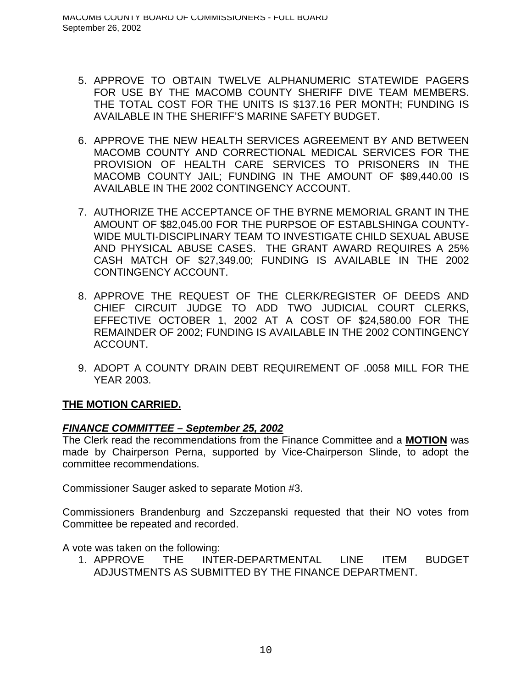- 5. APPROVE TO OBTAIN TWELVE ALPHANUMERIC STATEWIDE PAGERS FOR USE BY THE MACOMB COUNTY SHERIFF DIVE TEAM MEMBERS. THE TOTAL COST FOR THE UNITS IS \$137.16 PER MONTH; FUNDING IS AVAILABLE IN THE SHERIFF'S MARINE SAFETY BUDGET.
- 6. APPROVE THE NEW HEALTH SERVICES AGREEMENT BY AND BETWEEN MACOMB COUNTY AND CORRECTIONAL MEDICAL SERVICES FOR THE PROVISION OF HEALTH CARE SERVICES TO PRISONERS IN THE MACOMB COUNTY JAIL; FUNDING IN THE AMOUNT OF \$89,440.00 IS AVAILABLE IN THE 2002 CONTINGENCY ACCOUNT.
- 7. AUTHORIZE THE ACCEPTANCE OF THE BYRNE MEMORIAL GRANT IN THE AMOUNT OF \$82,045.00 FOR THE PURPSOE OF ESTABLSHINGA COUNTY-WIDE MULTI-DISCIPLINARY TEAM TO INVESTIGATE CHILD SEXUAL ABUSE AND PHYSICAL ABUSE CASES. THE GRANT AWARD REQUIRES A 25% CASH MATCH OF \$27,349.00; FUNDING IS AVAILABLE IN THE 2002 CONTINGENCY ACCOUNT.
- 8. APPROVE THE REQUEST OF THE CLERK/REGISTER OF DEEDS AND CHIEF CIRCUIT JUDGE TO ADD TWO JUDICIAL COURT CLERKS, EFFECTIVE OCTOBER 1, 2002 AT A COST OF \$24,580.00 FOR THE REMAINDER OF 2002; FUNDING IS AVAILABLE IN THE 2002 CONTINGENCY ACCOUNT.
- 9. ADOPT A COUNTY DRAIN DEBT REQUIREMENT OF .0058 MILL FOR THE YEAR 2003.

# *FINANCE COMMITTEE – September 25, 2002*

The Clerk read the recommendations from the Finance Committee and a **MOTION** was made by Chairperson Perna, supported by Vice-Chairperson Slinde, to adopt the committee recommendations.

Commissioner Sauger asked to separate Motion #3.

Commissioners Brandenburg and Szczepanski requested that their NO votes from Committee be repeated and recorded.

A vote was taken on the following:

1. APPROVE THE INTER-DEPARTMENTAL LINE ITEM BUDGET ADJUSTMENTS AS SUBMITTED BY THE FINANCE DEPARTMENT.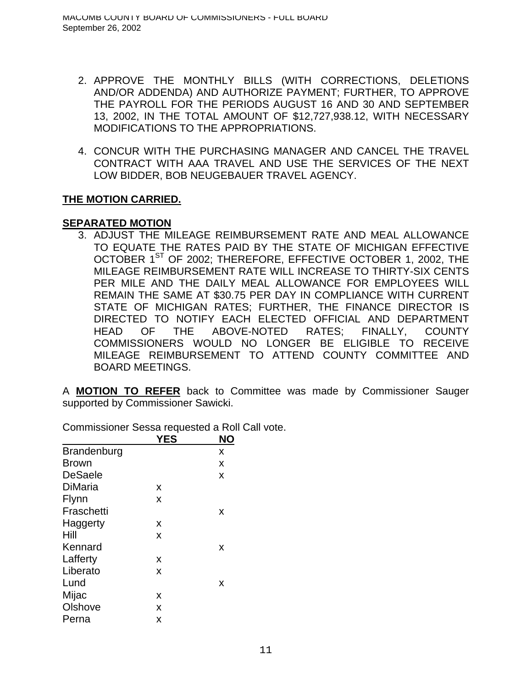- 2. APPROVE THE MONTHLY BILLS (WITH CORRECTIONS, DELETIONS AND/OR ADDENDA) AND AUTHORIZE PAYMENT; FURTHER, TO APPROVE THE PAYROLL FOR THE PERIODS AUGUST 16 AND 30 AND SEPTEMBER 13, 2002, IN THE TOTAL AMOUNT OF \$12,727,938.12, WITH NECESSARY MODIFICATIONS TO THE APPROPRIATIONS.
- 4. CONCUR WITH THE PURCHASING MANAGER AND CANCEL THE TRAVEL CONTRACT WITH AAA TRAVEL AND USE THE SERVICES OF THE NEXT LOW BIDDER, BOB NEUGEBAUER TRAVEL AGENCY.

### **SEPARATED MOTION**

3. ADJUST THE MILEAGE REIMBURSEMENT RATE AND MEAL ALLOWANCE TO EQUATE THE RATES PAID BY THE STATE OF MICHIGAN EFFECTIVE OCTOBER 1<sup>ST</sup> OF 2002; THEREFORE, EFFECTIVE OCTOBER 1, 2002, THE MILEAGE REIMBURSEMENT RATE WILL INCREASE TO THIRTY-SIX CENTS PER MILE AND THE DAILY MEAL ALLOWANCE FOR EMPLOYEES WILL REMAIN THE SAME AT \$30.75 PER DAY IN COMPLIANCE WITH CURRENT STATE OF MICHIGAN RATES; FURTHER, THE FINANCE DIRECTOR IS DIRECTED TO NOTIFY EACH ELECTED OFFICIAL AND DEPARTMENT HEAD OF THE ABOVE-NOTED RATES; FINALLY, COUNTY COMMISSIONERS WOULD NO LONGER BE ELIGIBLE TO RECEIVE MILEAGE REIMBURSEMENT TO ATTEND COUNTY COMMITTEE AND BOARD MEETINGS.

A **MOTION TO REFER** back to Committee was made by Commissioner Sauger supported by Commissioner Sawicki.

|                    | <b>YES</b> | NΟ |
|--------------------|------------|----|
| <b>Brandenburg</b> |            | х  |
| <b>Brown</b>       |            | X  |
| <b>DeSaele</b>     |            | x  |
| <b>DiMaria</b>     | X          |    |
| Flynn              | X          |    |
| Fraschetti         |            | X  |
| Haggerty           | X          |    |
| Hill               | X          |    |
| Kennard            |            | x  |
| Lafferty           | X          |    |
| Liberato           | X          |    |
| Lund               |            | х  |
| Mijac              | X          |    |
| Olshove            | x          |    |
| Perna              | x          |    |

Commissioner Sessa requested a Roll Call vote.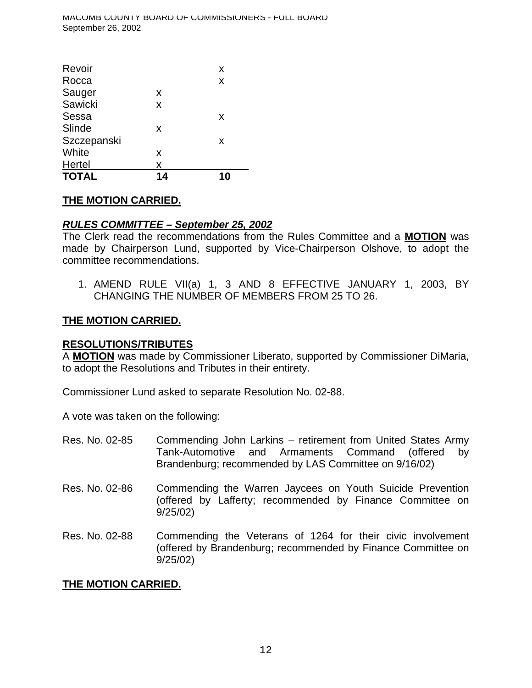| Revoir       |    | X  |
|--------------|----|----|
| Rocca        |    | X  |
| Sauger       | X  |    |
| Sawicki      | X  |    |
| Sessa        |    | X  |
| Slinde       | X  |    |
| Szczepanski  |    | X  |
| White        | X  |    |
| Hertel       | X  |    |
| <b>TOTAL</b> | 14 | 10 |

# *RULES COMMITTEE – September 25, 2002*

The Clerk read the recommendations from the Rules Committee and a **MOTION** was made by Chairperson Lund, supported by Vice-Chairperson Olshove, to adopt the committee recommendations.

1. AMEND RULE VII(a) 1, 3 AND 8 EFFECTIVE JANUARY 1, 2003, BY CHANGING THE NUMBER OF MEMBERS FROM 25 TO 26.

## **THE MOTION CARRIED.**

### **RESOLUTIONS/TRIBUTES**

A **MOTION** was made by Commissioner Liberato, supported by Commissioner DiMaria, to adopt the Resolutions and Tributes in their entirety.

Commissioner Lund asked to separate Resolution No. 02-88.

A vote was taken on the following:

- Res. No. 02-85 Commending John Larkins retirement from United States Army Tank-Automotive and Armaments Command (offered by Brandenburg; recommended by LAS Committee on 9/16/02)
- Res. No. 02-86 Commending the Warren Jaycees on Youth Suicide Prevention (offered by Lafferty; recommended by Finance Committee on 9/25/02)
- Res. No. 02-88 Commending the Veterans of 1264 for their civic involvement (offered by Brandenburg; recommended by Finance Committee on 9/25/02)

# **THE MOTION CARRIED.**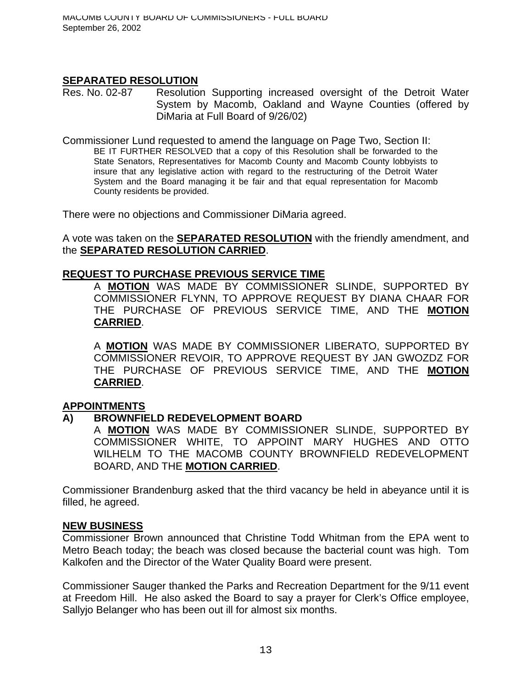## **SEPARATED RESOLUTION**

Res. No. 02-87 Resolution Supporting increased oversight of the Detroit Water System by Macomb, Oakland and Wayne Counties (offered by DiMaria at Full Board of 9/26/02)

Commissioner Lund requested to amend the language on Page Two, Section II: BE IT FURTHER RESOLVED that a copy of this Resolution shall be forwarded to the State Senators, Representatives for Macomb County and Macomb County lobbyists to insure that any legislative action with regard to the restructuring of the Detroit Water System and the Board managing it be fair and that equal representation for Macomb County residents be provided.

There were no objections and Commissioner DiMaria agreed.

A vote was taken on the **SEPARATED RESOLUTION** with the friendly amendment, and the **SEPARATED RESOLUTION CARRIED**.

### **REQUEST TO PURCHASE PREVIOUS SERVICE TIME**

A **MOTION** WAS MADE BY COMMISSIONER SLINDE, SUPPORTED BY COMMISSIONER FLYNN, TO APPROVE REQUEST BY DIANA CHAAR FOR THE PURCHASE OF PREVIOUS SERVICE TIME, AND THE **MOTION CARRIED**.

A **MOTION** WAS MADE BY COMMISSIONER LIBERATO, SUPPORTED BY COMMISSIONER REVOIR, TO APPROVE REQUEST BY JAN GWOZDZ FOR THE PURCHASE OF PREVIOUS SERVICE TIME, AND THE **MOTION CARRIED**.

### **APPOINTMENTS**

### **A) BROWNFIELD REDEVELOPMENT BOARD**

A **MOTION** WAS MADE BY COMMISSIONER SLINDE, SUPPORTED BY COMMISSIONER WHITE, TO APPOINT MARY HUGHES AND OTTO WILHELM TO THE MACOMB COUNTY BROWNFIELD REDEVELOPMENT BOARD, AND THE **MOTION CARRIED**.

Commissioner Brandenburg asked that the third vacancy be held in abeyance until it is filled, he agreed.

#### **NEW BUSINESS**

Commissioner Brown announced that Christine Todd Whitman from the EPA went to Metro Beach today; the beach was closed because the bacterial count was high. Tom Kalkofen and the Director of the Water Quality Board were present.

Commissioner Sauger thanked the Parks and Recreation Department for the 9/11 event at Freedom Hill. He also asked the Board to say a prayer for Clerk's Office employee, Sallyjo Belanger who has been out ill for almost six months.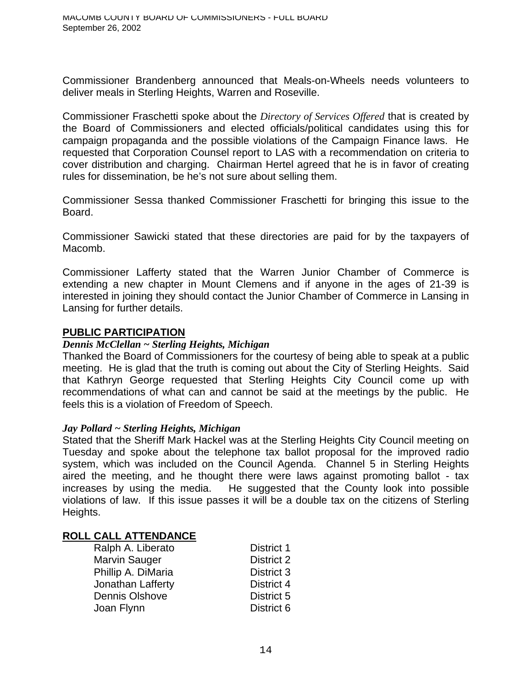Commissioner Brandenberg announced that Meals-on-Wheels needs volunteers to deliver meals in Sterling Heights, Warren and Roseville.

Commissioner Fraschetti spoke about the *Directory of Services Offered* that is created by the Board of Commissioners and elected officials/political candidates using this for campaign propaganda and the possible violations of the Campaign Finance laws. He requested that Corporation Counsel report to LAS with a recommendation on criteria to cover distribution and charging. Chairman Hertel agreed that he is in favor of creating rules for dissemination, be he's not sure about selling them.

Commissioner Sessa thanked Commissioner Fraschetti for bringing this issue to the Board.

Commissioner Sawicki stated that these directories are paid for by the taxpayers of Macomb.

Commissioner Lafferty stated that the Warren Junior Chamber of Commerce is extending a new chapter in Mount Clemens and if anyone in the ages of 21-39 is interested in joining they should contact the Junior Chamber of Commerce in Lansing in Lansing for further details.

#### **PUBLIC PARTICIPATION**

#### *Dennis McClellan ~ Sterling Heights, Michigan*

Thanked the Board of Commissioners for the courtesy of being able to speak at a public meeting. He is glad that the truth is coming out about the City of Sterling Heights. Said that Kathryn George requested that Sterling Heights City Council come up with recommendations of what can and cannot be said at the meetings by the public. He feels this is a violation of Freedom of Speech.

#### *Jay Pollard ~ Sterling Heights, Michigan*

Stated that the Sheriff Mark Hackel was at the Sterling Heights City Council meeting on Tuesday and spoke about the telephone tax ballot proposal for the improved radio system, which was included on the Council Agenda. Channel 5 in Sterling Heights aired the meeting, and he thought there were laws against promoting ballot - tax increases by using the media. He suggested that the County look into possible violations of law. If this issue passes it will be a double tax on the citizens of Sterling Heights.

#### **ROLL CALL ATTENDANCE**

| Ralph A. Liberato  | <b>District 1</b> |
|--------------------|-------------------|
| Marvin Sauger      | <b>District 2</b> |
| Phillip A. DiMaria | District 3        |
| Jonathan Lafferty  | District 4        |
| Dennis Olshove     | District 5        |
| Joan Flynn         | District 6        |